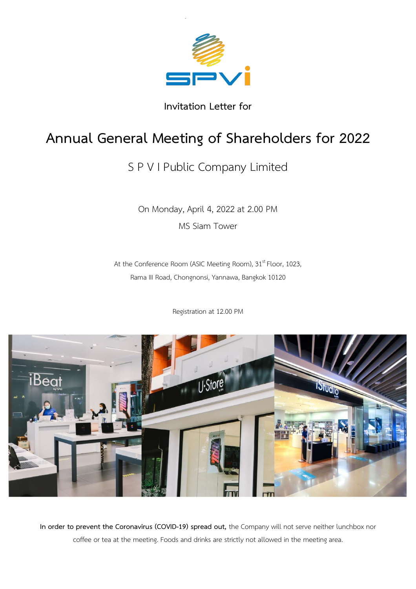

**Invitation Letter for**

# **Annual General Meeting of Shareholders for 2022**

## S P V I Public Company Limited

On Monday, April 4, 2022 at 2.00 PM MS Siam Tower

At the Conference Room (ASIC Meeting Room), 31<sup>st</sup> Floor, 1023, Rama III Road, Chongnonsi, Yannawa, Bangkok 10120

Registration at 12.00 PM



**In order to prevent the Coronavirus (COVID-19) spread out,** the Company will not serve neither lunchbox nor coffee or tea at the meeting. Foods and drinks are strictly not allowed in the meeting area.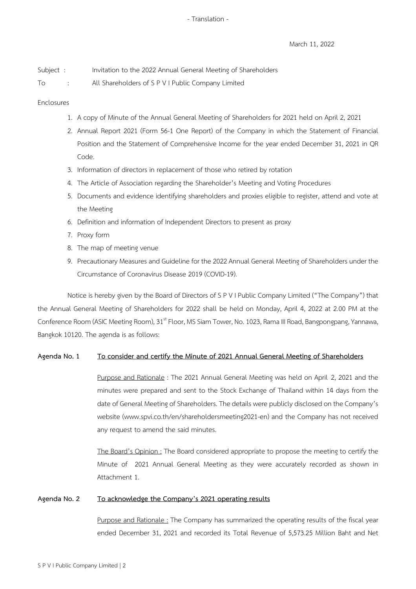March 11, 2022

| Subject : |  | Invitation to the 2022 Annual General Meeting of Shareholders |  |
|-----------|--|---------------------------------------------------------------|--|
|-----------|--|---------------------------------------------------------------|--|

To : All Shareholders of S P V I Public Company Limited

### Enclosures

- 1. A copy of Minute of the Annual General Meeting of Shareholders for 2021 held on April 2, 2021
- 2. Annual Report 2021 (Form 56-1 One Report) of the Company in which the Statement of Financial Position and the Statement of Comprehensive Income for the year ended December 31, 2021 in QR Code.
- 3. Information of directors in replacement of those who retired by rotation
- 4. The Article of Association regarding the Shareholder's Meeting and Voting Procedures
- 5. Documents and evidence identifying shareholders and proxies eligible to register, attend and vote at the Meeting
- 6. Definition and information of Independent Directors to present as proxy
- 7. Proxy form
- 8. The map of meeting venue
- 9. Precautionary Measures and Guideline for the 2022 Annual General Meeting of Shareholders under the Circumstance of Coronavirus Disease 2019 (COVID-19).

Notice is hereby given by the Board of Directors of S PV I Public Company Limited ("The Company") that the Annual General Meeting of Shareholders for 2022 shall be held on Monday, April 4, 2022 at 2.00 PM at the Conference Room (ASIC Meeting Room), 31<sup>st</sup> Floor, MS Siam Tower, No. 1023, Rama III Road, Bangpongpang, Yannawa, Bangkok 10120. The agenda is as follows:

### **Agenda No. 1 To consider and certify the Minute of 2021 Annual General Meeting of Shareholders**

Purpose and Rationale : The 2021 Annual General Meeting was held on April 2, 2021 and the minutes were prepared and sent to the Stock Exchange of Thailand within 14 days from the date of General Meeting of Shareholders. The details were publicly disclosed on the Company's website (www.spvi.co.th/en/shareholdersmeeting2021-en) and the Company has not received any request to amend the said minutes.

The Board's Opinion : The Board considered appropriate to propose the meeting to certify the Minute of 2021 Annual General Meeting as they were accurately recorded as shown in Attachment 1.

### **Agenda No. 2 To acknowledge the Company's 2021 operating results**

Purpose and Rationale : The Company has summarized the operating results of the fiscal year ended December 31, 2021 and recorded its Total Revenue of 5,573.25 Million Baht and Net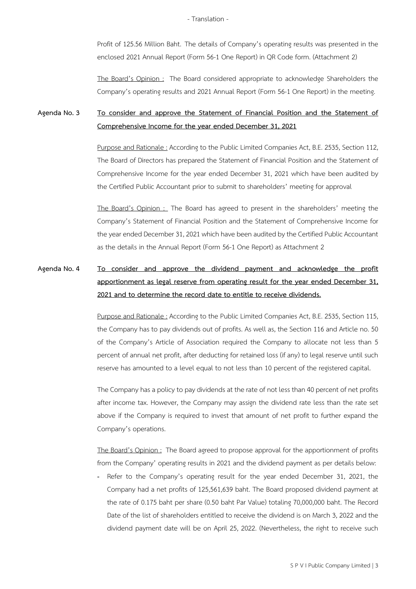Profit of 125.56 Million Baht. The details of Company's operating results was presented in the enclosed 2021 Annual Report (Form 56-1 One Report) in QR Code form. (Attachment 2)

The Board's Opinion : The Board considered appropriate to acknowledge Shareholders the Company's operating results and 2021 Annual Report (Form 56-1 One Report) in the meeting.

### **Agenda No. 3 To consider and approve the Statement of Financial Position and the Statement of Comprehensive Income for the year ended December 31, 2021**

Purpose and Rationale : According to the Public Limited Companies Act, B.E. 2535, Section 112, The Board of Directors has prepared the Statement of Financial Position and the Statement of Comprehensive Income for the year ended December 31, 2021 which have been audited by the Certified Public Accountant prior to submit to shareholders' meeting for approval

The Board's Opinion : The Board has agreed to present in the shareholders' meeting the Company's Statement of Financial Position and the Statement of Comprehensive Income for the year ended December 31, 2021 which have been audited by the Certified Public Accountant as the details in the Annual Report (Form 56-1 One Report) as Attachment 2

### **Agenda No. 4 To consider and approve the dividend payment and acknowledge the profit apportionment as legal reserve from operating result for the year ended December 31, 2021 and to determine the record date to entitle to receive dividends.**

Purpose and Rationale : According to the Public Limited Companies Act, B.E. 2535, Section 115, the Company has to pay dividends out of profits. As well as, the Section 116 and Article no. 50 of the Company's Article of Association required the Company to allocate not less than 5 percent of annual net profit, after deducting for retained loss (if any) to legal reserve until such reserve has amounted to a level equal to not less than 10 percent of the registered capital.

The Company has a policy to pay dividends at the rate of not less than 40 percent of net profits after income tax. However, the Company may assign the dividend rate less than the rate set above if the Company is required to invest that amount of net profit to further expand the Company's operations.

The Board's Opinion : The Board agreed to propose approval for the apportionment of profits from the Company' operating results in 2021 and the dividend payment as per details below:

- Refer to the Company's operating result for the year ended December 31, 2021, the Company had a net profits of 125,561,639 baht. The Board proposed dividend payment at the rate of 0.175 baht per share (0.50 baht Par Value) totaling 70,000,000 baht. The Record Date of the list of shareholders entitled to receive the dividend is on March 3, 2022 and the dividend payment date will be on April 25, 2022. (Nevertheless, the right to receive such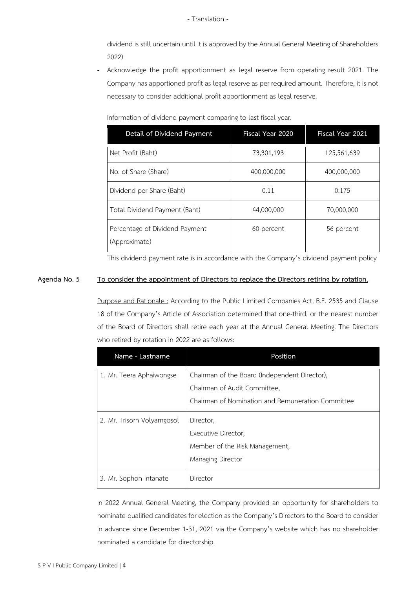dividend is still uncertain until it is approved by the Annual General Meeting of Shareholders 2022)

- Acknowledge the profit apportionment as legal reserve from operating result 2021. The Company has apportioned profit as legal reserve as per required amount. Therefore, it is not necessary to consider additional profit apportionment as legal reserve.

| Information of dividend payment comparing to last fiscal year. |  |  |
|----------------------------------------------------------------|--|--|
|----------------------------------------------------------------|--|--|

| Detail of Dividend Payment                      | Fiscal Year 2020 | Fiscal Year 2021 |
|-------------------------------------------------|------------------|------------------|
| Net Profit (Baht)                               | 73,301,193       | 125,561,639      |
| No. of Share (Share)                            | 400,000,000      | 400,000,000      |
| Dividend per Share (Baht)                       | 0.11             | 0.175            |
| Total Dividend Payment (Baht)                   | 44,000,000       | 70,000,000       |
| Percentage of Dividend Payment<br>(Approximate) | 60 percent       | 56 percent       |

This dividend payment rate is in accordance with the Company's dividend payment policy

### **Agenda No. 5 To consider the appointment of Directors to replace the Directors retiring by rotation.**

Purpose and Rationale : According to the Public Limited Companies Act, B.E. 2535 and Clause 18 of the Company's Article of Association determined that one-third, or the nearest number of the Board of Directors shall retire each year at the Annual General Meeting. The Directors who retired by rotation in 2022 are as follows:

| Name - Lastname             | Position                                          |
|-----------------------------|---------------------------------------------------|
| 1. Mr. Teera Aphaiwongse    | Chairman of the Board (Independent Director),     |
|                             | Chairman of Audit Committee,                      |
|                             | Chairman of Nomination and Remuneration Committee |
| 2. Mr. Trisorn Volyarngosol | Director,                                         |
|                             | Executive Director,                               |
|                             | Member of the Risk Management,                    |
|                             | Managing Director                                 |
| 3. Mr. Sophon Intanate      | Director                                          |

In 2022 Annual General Meeting, the Company provided an opportunity for shareholders to nominate qualified candidates for election as the Company's Directors to the Board to consider in advance since December 1-31, 2021 via the Company's website which has no shareholder nominated a candidate for directorship.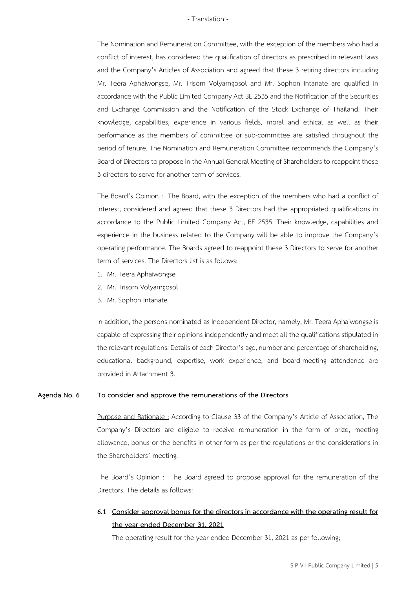The Nomination and Remuneration Committee, with the exception of the members who had a conflict of interest, has considered the qualification of directors as prescribed in relevant laws and the Company's Articles of Association and agreed that these 3 retiring directors including Mr. Teera Aphaiwongse, Mr. Trisorn Volyarngosol and Mr. Sophon Intanate are qualified in accordance with the Public Limited Company Act BE 2535 and the Notification of the Securities and Exchange Commission and the Notification of the Stock Exchange of Thailand. Their knowledge, capabilities, experience in various fields, moral and ethical as well as their performance as the members of committee or sub-committee are satisfied throughout the period of tenure. The Nomination and Remuneration Committee recommends the Company's Board of Directors to propose in the Annual General Meeting of Shareholders to reappoint these 3 directors to serve for another term of services.

The Board's Opinion : The Board, with the exception of the members who had a conflict of interest, considered and agreed that these 3 Directors had the appropriated qualifications in accordance to the Public Limited Company Act, BE 2535. Their knowledge, capabilities and experience in the business related to the Company will be able to improve the Company's operating performance. The Boards agreed to reappoint these 3 Directors to serve for another term of services. The Directors list is as follows:

- 1. Mr. Teera Aphaiwongse
- 2. Mr. Trisorn Volyarngosol
- 3. Mr. Sophon Intanate

In addition, the persons nominated as Independent Director, namely, Mr. Teera Aphaiwongse is capable of expressing their opinions independently and meet all the qualifications stipulated in the relevant regulations. Details of each Director's age, number and percentage of shareholding, educational background, expertise, work experience, and board-meeting attendance are provided in Attachment 3.

#### **Agenda No. 6 To consider and approve the remunerations of the Directors**

Purpose and Rationale : According to Clause 33 of the Company's Article of Association, The Company's Directors are eligible to receive remuneration in the form of prize, meeting allowance, bonus or the benefits in other form as per the regulations or the considerations in the Shareholders' meeting.

The Board's Opinion : The Board agreed to propose approval for the remuneration of the Directors. The details as follows:

### **6.1 Consider approval bonus for the directors in accordance with the operating result for the year ended December 31, 2021**

The operating result for the year ended December 31, 2021 as per following;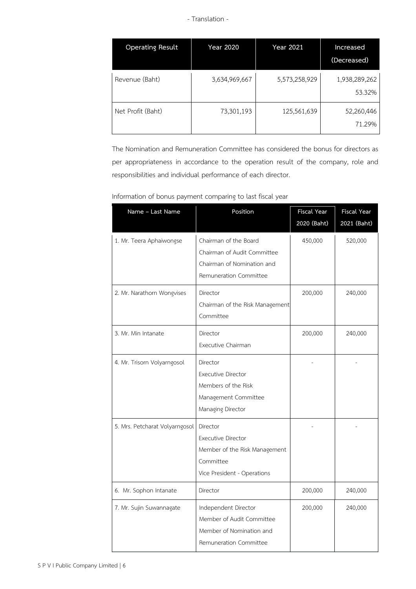| <b>Operating Result</b> | Year 2020     | Year 2021     | Increased<br>(Decreased) |
|-------------------------|---------------|---------------|--------------------------|
| Revenue (Baht)          | 3,634,969,667 | 5,573,258,929 | 1,938,289,262<br>53.32%  |
| Net Profit (Baht)       | 73,301,193    | 125,561,639   | 52,260,446<br>71.29%     |

The Nomination and Remuneration Committee has considered the bonus for directors as per appropriateness in accordance to the operation result of the company, role and responsibilities and individual performance of each director.

| information or bonus payment companity to tast riseat year |                                                                                                                    |                                   |                                   |  |
|------------------------------------------------------------|--------------------------------------------------------------------------------------------------------------------|-----------------------------------|-----------------------------------|--|
| Name - Last Name                                           | Position                                                                                                           | <b>Fiscal Year</b><br>2020 (Baht) | <b>Fiscal Year</b><br>2021 (Baht) |  |
| 1. Mr. Teera Aphaiwongse                                   | Chairman of the Board<br>Chairman of Audit Committee<br>Chairman of Nomination and<br>Remuneration Committee       | 450,000                           | 520,000                           |  |
| 2. Mr. Narathorn Wongvises                                 | Director<br>Chairman of the Risk Management<br>Committee                                                           | 200,000                           | 240,000                           |  |
| 3. Mr. Min Intanate                                        | Director<br>Executive Chairman                                                                                     | 200,000                           | 240,000                           |  |
| 4. Mr. Trisorn Volyarngosol                                | Director<br><b>Executive Director</b><br>Members of the Risk<br>Management Committee<br>Managing Director          |                                   |                                   |  |
| 5. Mrs. Petcharat Volyarngosol                             | Director<br><b>Executive Director</b><br>Member of the Risk Management<br>Committee<br>Vice President - Operations |                                   |                                   |  |
| 6. Mr. Sophon Intanate                                     | Director                                                                                                           | 200,000                           | 240,000                           |  |
| 7. Mr. Sujin Suwannagate                                   | Independent Director<br>Member of Audit Committee<br>Member of Nomination and<br>Remuneration Committee            | 200,000                           | 240,000                           |  |

### Information of bonus payment comparing to last fiscal year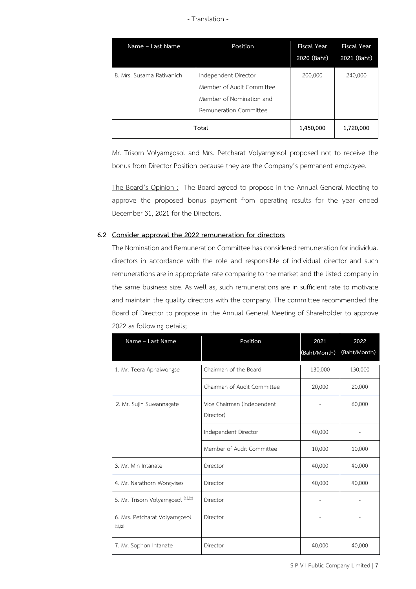| Name - Last Name          | Position                                                                                                | <b>Fiscal Year</b><br>2020 (Baht) | <b>Fiscal Year</b><br>2021 (Baht) |
|---------------------------|---------------------------------------------------------------------------------------------------------|-----------------------------------|-----------------------------------|
| 8. Mrs. Susama Rativanich | Independent Director<br>Member of Audit Committee<br>Member of Nomination and<br>Remuneration Committee | 200,000                           | 240,000                           |
|                           | Total                                                                                                   | 1,450,000                         | 1,720,000                         |

Mr. Trisorn Volyarngosol and Mrs. Petcharat Volyarngosol proposed not to receive the bonus from Director Position because they are the Company's permanent employee.

The Board's Opinion : The Board agreed to propose in the Annual General Meeting to approve the proposed bonus payment from operating results for the year ended December 31, 2021 for the Directors.

### **6.2 Consider approval the 2022 remuneration for directors**

The Nomination and Remuneration Committee has considered remuneration for individual directors in accordance with the role and responsible of individual director and such remunerations are in appropriate rate comparing to the market and the listed company in the same business size. As well as, such remunerations are in sufficient rate to motivate and maintain the quality directors with the company. The committee recommended the Board of Director to propose in the Annual General Meeting of Shareholder to approve 2022 as following details;

| Name - Last Name                          | Position                                | 2021<br>(Baht/Month) | 2022<br>(Baht/Month) |
|-------------------------------------------|-----------------------------------------|----------------------|----------------------|
| 1. Mr. Teera Aphaiwongse                  | Chairman of the Board                   | 130,000              | 130,000              |
|                                           | Chairman of Audit Committee             | 20,000               | 20,000               |
| 2. Mr. Sujin Suwannagate                  | Vice Chairman (Independent<br>Director) |                      | 60,000               |
|                                           | Independent Director                    | 40,000               |                      |
|                                           | Member of Audit Committee               | 10,000               | 10,000               |
| 3. Mr. Min Intanate                       | Director                                | 40,000               | 40,000               |
| 4. Mr. Narathorn Wongvises                | Director                                | 40,000               | 40,000               |
| 5. Mr. Trisorn Volyarngosol (1),(2)       | Director                                |                      |                      |
| 6. Mrs. Petcharat Volyarngosol<br>(1),(2) | Director                                |                      |                      |
| 7. Mr. Sophon Intanate                    | Director                                | 40,000               | 40,000               |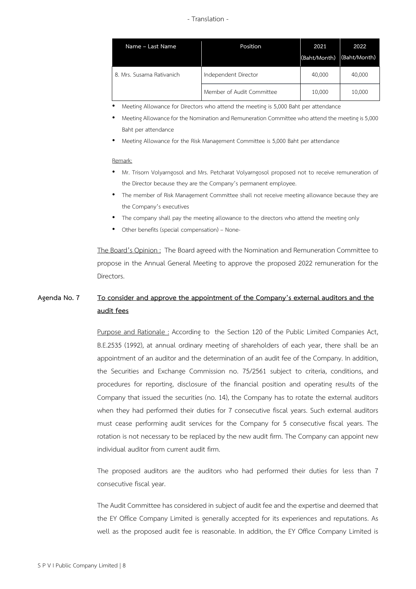| Name - Last Name          | Position                  | 2021<br>(Baht/Month) | 2022<br>(Baht/Month) |
|---------------------------|---------------------------|----------------------|----------------------|
| 8. Mrs. Susama Rativanich | Independent Director      | 40,000               | 40,000               |
|                           | Member of Audit Committee | 10,000               | 10,000               |

• Meeting Allowance for Directors who attend the meeting is 5,000 Baht per attendance

- Meeting Allowance for the Nomination and Remuneration Committee who attend the meeting is 5,000 Baht per attendance
- Meeting Allowance for the Risk Management Committee is 5,000 Baht per attendance

#### Remark:

- Mr. Trisorn Volyarngosol and Mrs. Petcharat Volyarngosol proposed not to receive remuneration of the Director because they are the Company's permanent employee.
- The member of Risk Management Committee shall not receive meeting allowance because they are the Company's executives
- The company shall pay the meeting allowance to the directors who attend the meeting only
- Other benefits (special compensation) None-

The Board's Opinion: The Board agreed with the Nomination and Remuneration Committee to propose in the Annual General Meeting to approve the proposed 2022 remuneration for the Directors.

### **Agenda No. 7 To consider and approve the appointment of the Company's external auditors and the audit fees**

Purpose and Rationale : According to the Section 120 of the Public Limited Companies Act, B.E.2535 (1992), at annual ordinary meeting of shareholders of each year, there shall be an appointment of an auditor and the determination of an audit fee of the Company. In addition, the Securities and Exchange Commission no. 75/2561 subject to criteria, conditions, and procedures for reporting, disclosure of the financial position and operating results of the Company that issued the securities (no. 14), the Company has to rotate the external auditors when they had performed their duties for 7 consecutive fiscal years. Such external auditors must cease performing audit services for the Company for 5 consecutive fiscal years. The rotation is not necessary to be replaced by the new audit firm. The Company can appoint new individual auditor from current audit firm.

The proposed auditors are the auditors who had performed their duties for less than 7 consecutive fiscal year.

The Audit Committee has considered in subject of audit fee and the expertise and deemed that the EY Office Company Limited is generally accepted for its experiences and reputations. As well as the proposed audit fee is reasonable. In addition, the EY Office Company Limited is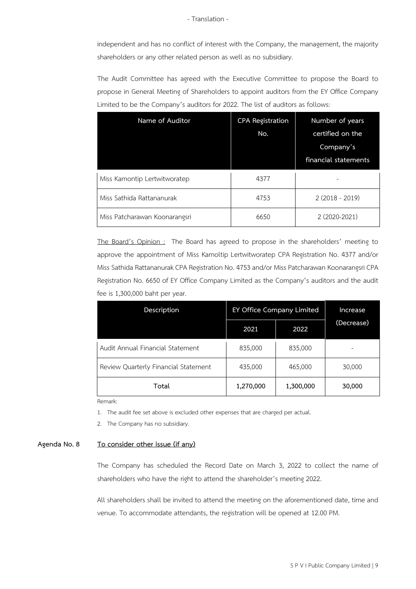independent and has no conflict of interest with the Company, the management, the majority shareholders or any other related person as well as no subsidiary.

The Audit Committee has agreed with the Executive Committee to propose the Board to propose in General Meeting of Shareholders to appoint auditors from the EY Office Company Limited to be the Company's auditors for 2022. The list of auditors as follows:

| Name of Auditor               | <b>CPA Registration</b><br>No. | Number of years<br>certified on the<br>Company's<br>financial statements |
|-------------------------------|--------------------------------|--------------------------------------------------------------------------|
| Miss Kamontip Lertwitworatep  | 4377                           |                                                                          |
| Miss Sathida Rattananurak     | 4753                           | $2(2018 - 2019)$                                                         |
| Miss Patcharawan Koonarangsri | 6650                           | 2 (2020-2021)                                                            |

The Board's Opinion : The Board has agreed to propose in the shareholders' meeting to approve the appointment of Miss Kamoltip Lertwitworatep CPA Registration No. 4377 and/or Miss Sathida Rattananurak CPA Registration No. 4753 and/or Miss Patcharawan Koonarangsri CPA Registration No. 6650 of EY Office Company Limited as the Company's auditors and the audit fee is 1,300,000 baht per year.

| Description                          | EY Office Company Limited |           | Increase   |
|--------------------------------------|---------------------------|-----------|------------|
|                                      | 2021                      | 2022      | (Decrease) |
| Audit Annual Financial Statement     | 835,000                   | 835,000   |            |
| Review Quarterly Financial Statement | 435,000                   | 465,000   | 30,000     |
| Total                                | 1,270,000                 | 1,300,000 | 30,000     |

Remark:

1. The audit fee set above is excluded other expenses that are charged per actual.

2. The Company has no subsidiary.

#### **Agenda No. 8 To consider other issue (if any)**

The Company has scheduled the Record Date on March 3, 2022 to collect the name of shareholders who have the right to attend the shareholder's meeting 2022.

All shareholders shall be invited to attend the meeting on the aforementioned date, time and venue. To accommodate attendants, the registration will be opened at 12.00 PM.